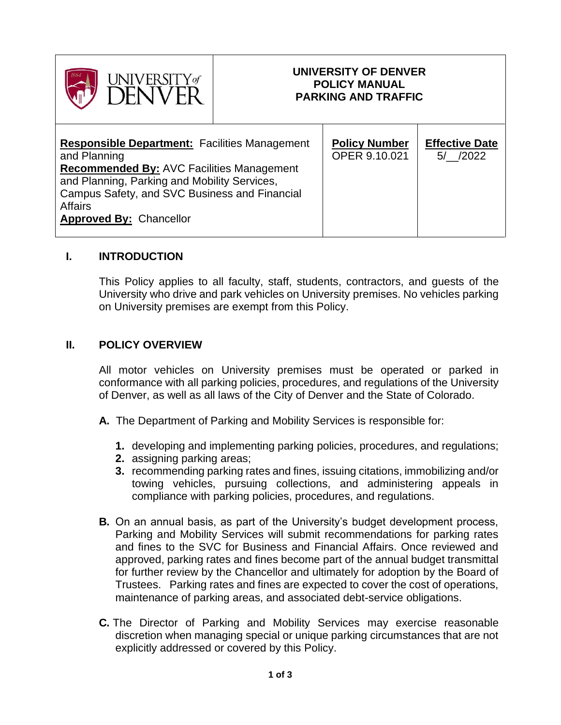

# **UNIVERSITY OF DENVER POLICY MANUAL PARKING AND TRAFFIC**

# **I. INTRODUCTION**

This Policy applies to all faculty, staff, students, contractors, and guests of the University who drive and park vehicles on University premises. No vehicles parking on University premises are exempt from this Policy.

#### **II. POLICY OVERVIEW**

All motor vehicles on University premises must be operated or parked in conformance with all parking policies, procedures, and regulations of the University of Denver, as well as all laws of the City of Denver and the State of Colorado.

- **A.** The Department of Parking and Mobility Services is responsible for:
	- **1.** developing and implementing parking policies, procedures, and regulations;
	- **2.** assigning parking areas;
	- **3.** recommending parking rates and fines, issuing citations, immobilizing and/or towing vehicles, pursuing collections, and administering appeals in compliance with parking policies, procedures, and regulations.
- **B.** On an annual basis, as part of the University's budget development process, Parking and Mobility Services will submit recommendations for parking rates and fines to the SVC for Business and Financial Affairs. Once reviewed and approved, parking rates and fines become part of the annual budget transmittal for further review by the Chancellor and ultimately for adoption by the Board of Trustees. Parking rates and fines are expected to cover the cost of operations, maintenance of parking areas, and associated debt-service obligations.
- **C.** The Director of Parking and Mobility Services may exercise reasonable discretion when managing special or unique parking circumstances that are not explicitly addressed or covered by this Policy.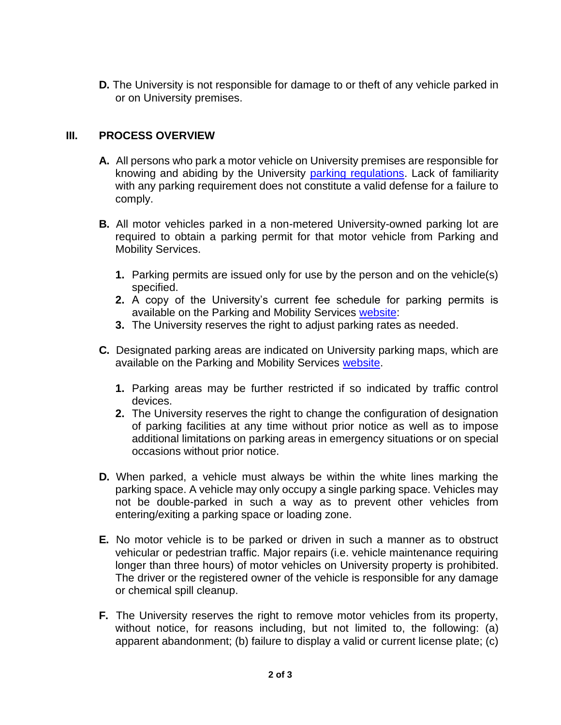**D.** The University is not responsible for damage to or theft of any vehicle parked in or on University premises.

# **III. PROCESS OVERVIEW**

- **A.** All persons who park a motor vehicle on University premises are responsible for knowing and abiding by the University [parking regulations.](https://www.du.edu/parking/parking-policies-and-procedures/permit-regulations) Lack of familiarity with any parking requirement does not constitute a valid defense for a failure to comply.
- **B.** All motor vehicles parked in a non-metered University-owned parking lot are required to obtain a parking permit for that motor vehicle from Parking and Mobility Services.
	- **1.** Parking permits are issued only for use by the person and on the vehicle(s) specified.
	- **2.** A copy of the University's current fee schedule for parking permits is available on the Parking and Mobility Services [website:](https://www.du.edu/parking)
	- **3.** The University reserves the right to adjust parking rates as needed.
- **C.** Designated parking areas are indicated on University parking maps, which are available on the Parking and Mobility Services [website.](https://www.du.edu/parking)
	- **1.** Parking areas may be further restricted if so indicated by traffic control devices.
	- **2.** The University reserves the right to change the configuration of designation of parking facilities at any time without prior notice as well as to impose additional limitations on parking areas in emergency situations or on special occasions without prior notice.
- **D.** When parked, a vehicle must always be within the white lines marking the parking space. A vehicle may only occupy a single parking space. Vehicles may not be double-parked in such a way as to prevent other vehicles from entering/exiting a parking space or loading zone.
- **E.** No motor vehicle is to be parked or driven in such a manner as to obstruct vehicular or pedestrian traffic. Major repairs (i.e. vehicle maintenance requiring longer than three hours) of motor vehicles on University property is prohibited. The driver or the registered owner of the vehicle is responsible for any damage or chemical spill cleanup.
- **F.** The University reserves the right to remove motor vehicles from its property, without notice, for reasons including, but not limited to, the following: (a) apparent abandonment; (b) failure to display a valid or current license plate; (c)